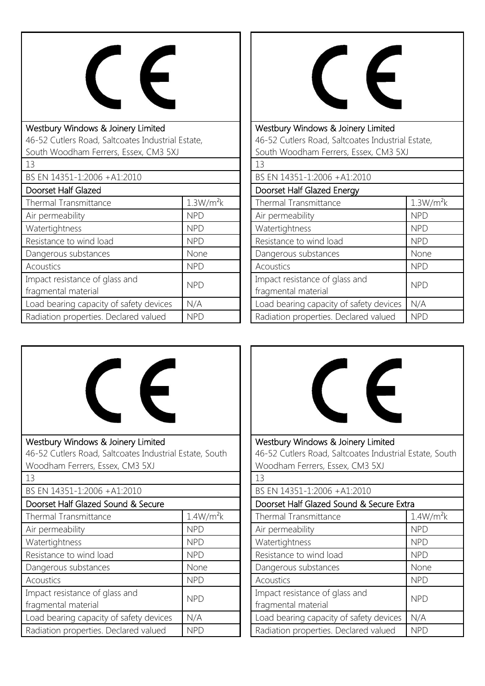

| Westbury Windows & Joinery Limited                |                       |  |
|---------------------------------------------------|-----------------------|--|
| 46-52 Cutlers Road, Saltcoates Industrial Estate, |                       |  |
| South Woodham Ferrers, Essex, CM3 5XJ             |                       |  |
| 13                                                |                       |  |
| BS EN 14351-1:2006 +A1:2010                       |                       |  |
| Doorset Half Glazed                               |                       |  |
| <b>Thermal Transmittance</b>                      | 1.3W/m <sup>2</sup> k |  |
| Air permeability                                  | <b>NPD</b>            |  |
| Watertightness                                    | <b>NPD</b>            |  |
| Resistance to wind load                           | <b>NPD</b>            |  |
| Dangerous substances                              | None                  |  |
| Acoustics                                         | <b>NPD</b>            |  |
| Impact resistance of glass and                    | <b>NPD</b>            |  |
| fragmental material                               |                       |  |
| Load bearing capacity of safety devices           | N/A                   |  |
| Radiation properties. Declared valued             | NPD                   |  |



Westbury Windows & Joinery Limited 46-52 Cutlers Road, Saltcoates Industrial Estate, South Woodham Ferrers, Essex, CM3 5XJ

| 13                                      |                       |
|-----------------------------------------|-----------------------|
| BS EN 14351-1:2006 +A1:2010             |                       |
| Doorset Half Glazed Energy              |                       |
| Thermal Transmittance                   | 1.3W/m <sup>2</sup> k |
| Air permeability                        | <b>NPD</b>            |
| Watertightness                          | <b>NPD</b>            |
| Resistance to wind load                 | <b>NPD</b>            |
| Dangerous substances                    | None                  |
| Acoustics                               | <b>NPD</b>            |
| Impact resistance of glass and          | <b>NPD</b>            |
| fragmental material                     |                       |
| Load bearing capacity of safety devices | N/A                   |
| Radiation properties. Declared valued   | <b>NPD</b>            |





46-52 Cutlers Road, Saltcoates Industrial Estate, South Woodham Ferrers, Essex, CM3 5XJ

| 13                                                    |                       |  |
|-------------------------------------------------------|-----------------------|--|
| BS EN 14351-1:2006 +A1:2010                           |                       |  |
| Doorset Half Glazed Sound & Secure Extra              |                       |  |
| Thermal Transmittance                                 | 1.4W/m <sup>2</sup> k |  |
| Air permeability                                      | <b>NPD</b>            |  |
| Watertightness                                        | <b>NPD</b>            |  |
| Resistance to wind load                               | <b>NPD</b>            |  |
| Dangerous substances                                  | None                  |  |
| Acoustics                                             | <b>NPD</b>            |  |
| Impact resistance of glass and<br>fragmental material | <b>NPD</b>            |  |
| Load bearing capacity of safety devices               | N/A                   |  |
| Radiation properties. Declared valued                 | <b>NPD</b>            |  |